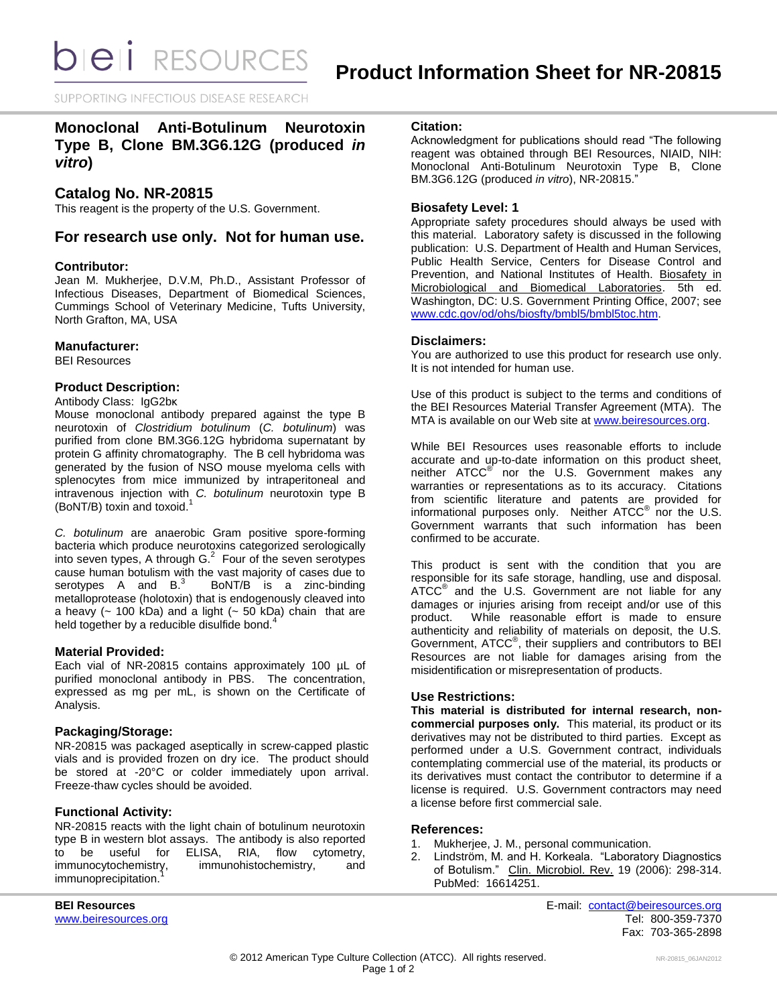**bieli** RESOURCES

SUPPORTING INFECTIOUS DISEASE RESEARCH

# **Monoclonal Anti-Botulinum Neurotoxin Type B, Clone BM.3G6.12G (produced** *in vitro***)**

# **Catalog No. NR-20815**

This reagent is the property of the U.S. Government.

# **For research use only. Not for human use.**

### **Contributor:**

Jean M. Mukherjee, D.V.M, Ph.D., Assistant Professor of Infectious Diseases, Department of Biomedical Sciences, Cummings School of Veterinary Medicine, Tufts University, North Grafton, MA, USA

### **Manufacturer:**

BEI Resources

# **Product Description:**

Antibody Class: IgG2bκ

Mouse monoclonal antibody prepared against the type B neurotoxin of *Clostridium botulinum* (*C. botulinum*) was purified from clone BM.3G6.12G hybridoma supernatant by protein G affinity chromatography. The B cell hybridoma was generated by the fusion of NSO mouse myeloma cells with splenocytes from mice immunized by intraperitoneal and intravenous injection with *C. botulinum* neurotoxin type B (BoNT/B) toxin and toxoid. 1

*C. botulinum* are anaerobic Gram positive spore-forming bacteria which produce neurotoxins categorized serologically into seven types, A through  $G<sup>2</sup>$  Four of the seven serotypes cause human botulism with the vast majority of cases due to serotypes A and B.<sup>3</sup> BoNT/B is a zinc-binding metalloprotease (holotoxin) that is endogenously cleaved into a heavy  $(-100 kDa)$  and a light  $(-50 kDa)$  chain that are held together by a reducible disulfide bond.<sup>4</sup>

### **Material Provided:**

Each vial of NR-20815 contains approximately 100 µL of purified monoclonal antibody in PBS. The concentration, expressed as mg per mL, is shown on the Certificate of Analysis.

# **Packaging/Storage:**

NR-20815 was packaged aseptically in screw-capped plastic vials and is provided frozen on dry ice. The product should be stored at -20°C or colder immediately upon arrival. Freeze-thaw cycles should be avoided.

# **Functional Activity:**

NR-20815 reacts with the light chain of botulinum neurotoxin type B in western blot assays. The antibody is also reported<br>to be useful for ELISA, RIA, flow cytometry, to be useful for ELISA, RIA, flow cytometry,<br>immunocytochemistry, immunohistochemistry, and immunohistochemistry, and immunoprecipitation.

## **Citation:**

Acknowledgment for publications should read "The following reagent was obtained through BEI Resources, NIAID, NIH: Monoclonal Anti-Botulinum Neurotoxin Type B, Clone BM.3G6.12G (produced *in vitro*), NR-20815."

## **Biosafety Level: 1**

Appropriate safety procedures should always be used with this material. Laboratory safety is discussed in the following publication: U.S. Department of Health and Human Services, Public Health Service, Centers for Disease Control and Prevention, and National Institutes of Health. Biosafety in Microbiological and Biomedical Laboratories. 5th ed. Washington, DC: U.S. Government Printing Office, 2007; see [www.cdc.gov/od/ohs/biosfty/bmbl5/bmbl5toc.htm.](http://www.cdc.gov/od/ohs/biosfty/bmbl5/bmbl5toc.htm)

### **Disclaimers:**

You are authorized to use this product for research use only. It is not intended for human use.

Use of this product is subject to the terms and conditions of the BEI Resources Material Transfer Agreement (MTA). The MTA is available on our Web site at [www.beiresources.org.](http://www.beiresources.org/)

While BEI Resources uses reasonable efforts to include accurate and up-to-date information on this product sheet, neither ATCC<sup>®</sup> nor the U.S. Government makes any warranties or representations as to its accuracy. Citations from scientific literature and patents are provided for informational purposes only. Neither  $ATCC^{\circledast}$  nor the U.S. Government warrants that such information has been confirmed to be accurate.

This product is sent with the condition that you are responsible for its safe storage, handling, use and disposal. ATCC<sup>®</sup> and the U.S. Government are not liable for any damages or injuries arising from receipt and/or use of this product. While reasonable effort is made to ensure authenticity and reliability of materials on deposit, the U.S. Government, ATCC® , their suppliers and contributors to BEI Resources are not liable for damages arising from the misidentification or misrepresentation of products.

### **Use Restrictions:**

**This material is distributed for internal research, noncommercial purposes only.** This material, its product or its derivatives may not be distributed to third parties. Except as performed under a U.S. Government contract, individuals contemplating commercial use of the material, its products or its derivatives must contact the contributor to determine if a license is required. U.S. Government contractors may need a license before first commercial sale.

### **References:**

- 1. Mukherjee, J. M., personal communication.
- 2. Lindström, M. and H. Korkeala. "Laboratory Diagnostics of Botulism." Clin. Microbiol. Rev. 19 (2006): 298-314. PubMed: 16614251.